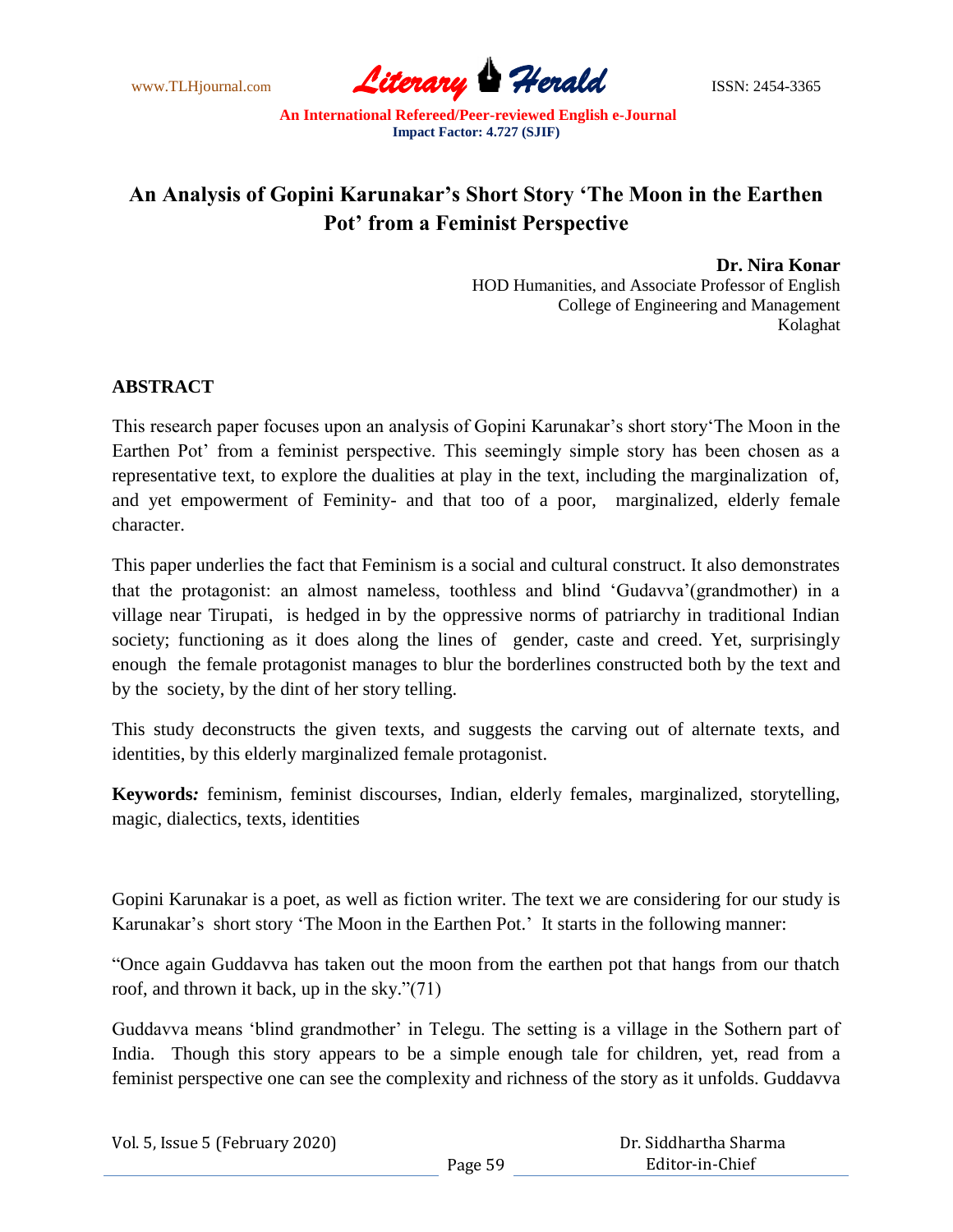www.TLHjournal.com **Literary Perald Herald** ISSN: 2454-3365

## **An Analysis of Gopini Karunakar"s Short Story "The Moon in the Earthen Pot" from a Feminist Perspective**

 **Dr. Nira Konar**  HOD Humanities, and Associate Professor of English College of Engineering and Management Kolaghat

## **ABSTRACT**

This research paper focuses upon an analysis of Gopini Karunakar's short story The Moon in the Earthen Pot' from a feminist perspective. This seemingly simple story has been chosen as a representative text, to explore the dualities at play in the text, including the marginalization of, and yet empowerment of Feminity- and that too of a poor, marginalized, elderly female character.

This paper underlies the fact that Feminism is a social and cultural construct. It also demonstrates that the protagonist: an almost nameless, toothless and blind ‗Gudavva'(grandmother) in a village near Tirupati, is hedged in by the oppressive norms of patriarchy in traditional Indian society; functioning as it does along the lines of gender, caste and creed. Yet, surprisingly enough the female protagonist manages to blur the borderlines constructed both by the text and by the society, by the dint of her story telling.

This study deconstructs the given texts, and suggests the carving out of alternate texts, and identities, by this elderly marginalized female protagonist.

**Keywords***:* feminism, feminist discourses, Indian, elderly females, marginalized, storytelling, magic, dialectics, texts, identities

Gopini Karunakar is a poet, as well as fiction writer. The text we are considering for our study is Karunakar's short story 'The Moon in the Earthen Pot.' It starts in the following manner:

―Once again Guddavva has taken out the moon from the earthen pot that hangs from our thatch roof, and thrown it back, up in the sky." $(71)$ 

Guddavva means 'blind grandmother' in Telegu. The setting is a village in the Sothern part of India. Though this story appears to be a simple enough tale for children, yet, read from a feminist perspective one can see the complexity and richness of the story as it unfolds. Guddavva

| Vol. 5, Issue 5 (February 2020) |         | Dr. Siddhartha Sharma |  |
|---------------------------------|---------|-----------------------|--|
|                                 | Page 59 | Editor-in-Chief       |  |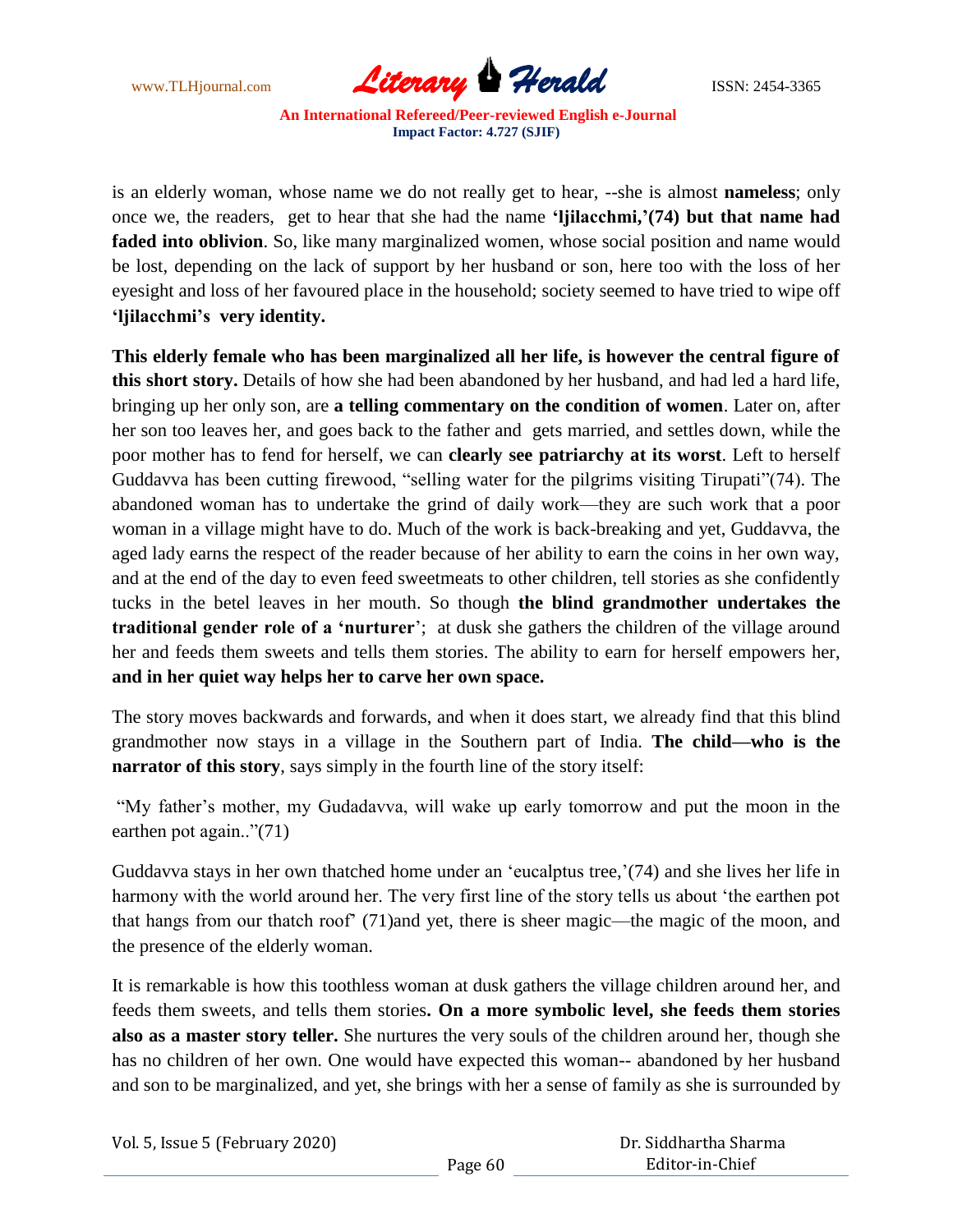

is an elderly woman, whose name we do not really get to hear, --she is almost **nameless**; only once we, the readers, get to hear that she had the name **"ljilacchmi,"(74) but that name had**  faded into oblivion. So, like many marginalized women, whose social position and name would be lost, depending on the lack of support by her husband or son, here too with the loss of her eyesight and loss of her favoured place in the household; society seemed to have tried to wipe off **"ljilacchmi"s very identity.**

**This elderly female who has been marginalized all her life, is however the central figure of this short story.** Details of how she had been abandoned by her husband, and had led a hard life, bringing up her only son, are **a telling commentary on the condition of women**. Later on, after her son too leaves her, and goes back to the father and gets married, and settles down, while the poor mother has to fend for herself, we can **clearly see patriarchy at its worst**. Left to herself Guddavva has been cutting firewood, "selling water for the pilgrims visiting Tirupati"(74). The abandoned woman has to undertake the grind of daily work—they are such work that a poor woman in a village might have to do. Much of the work is back-breaking and yet, Guddavva, the aged lady earns the respect of the reader because of her ability to earn the coins in her own way, and at the end of the day to even feed sweetmeats to other children, tell stories as she confidently tucks in the betel leaves in her mouth. So though **the blind grandmother undertakes the traditional gender role of a "nurturer**'; at dusk she gathers the children of the village around her and feeds them sweets and tells them stories. The ability to earn for herself empowers her, **and in her quiet way helps her to carve her own space.**

The story moves backwards and forwards, and when it does start, we already find that this blind grandmother now stays in a village in the Southern part of India. **The child—who is the narrator of this story**, says simply in the fourth line of the story itself:

"My father's mother, my Gudadavva, will wake up early tomorrow and put the moon in the earthen pot again.." $(71)$ 

Guddavva stays in her own thatched home under an 'eucalptus tree,'(74) and she lives her life in harmony with the world around her. The very first line of the story tells us about 'the earthen pot that hangs from our thatch roof' (71)and yet, there is sheer magic—the magic of the moon, and the presence of the elderly woman.

It is remarkable is how this toothless woman at dusk gathers the village children around her, and feeds them sweets, and tells them stories**. On a more symbolic level, she feeds them stories also as a master story teller.** She nurtures the very souls of the children around her, though she has no children of her own. One would have expected this woman-- abandoned by her husband and son to be marginalized, and yet, she brings with her a sense of family as she is surrounded by

| Vol. 5, Issue 5 (February 2020) | Dr. Siddhartha Sharma |                 |  |
|---------------------------------|-----------------------|-----------------|--|
|                                 | Page 60               | Editor-in-Chief |  |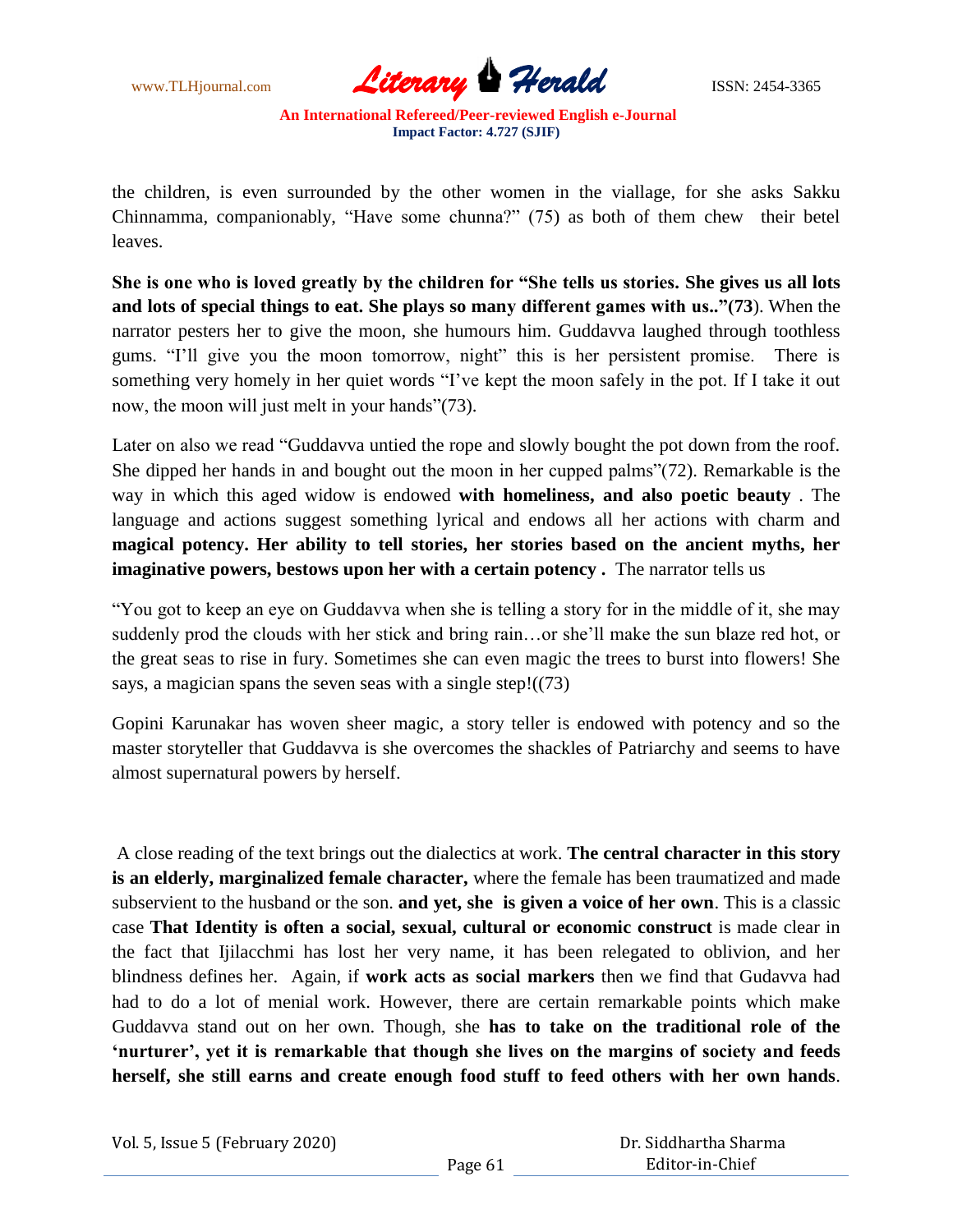

the children, is even surrounded by the other women in the viallage, for she asks Sakku Chinnamma, companionably, "Have some chunna?" (75) as both of them chew their betel leaves.

**She is one who is loved greatly by the children for "She tells us stories. She gives us all lots and lots of special things to eat. She plays so many different games with us.."(73**). When the narrator pesters her to give the moon, she humours him. Guddavva laughed through toothless gums. "I'll give you the moon tomorrow, night" this is her persistent promise. There is something very homely in her quiet words "I've kept the moon safely in the pot. If I take it out now, the moon will just melt in your hands"(73).

Later on also we read "Guddavva untied the rope and slowly bought the pot down from the roof. She dipped her hands in and bought out the moon in her cupped palms" $(72)$ . Remarkable is the way in which this aged widow is endowed **with homeliness, and also poetic beauty** . The language and actions suggest something lyrical and endows all her actions with charm and **magical potency. Her ability to tell stories, her stories based on the ancient myths, her imaginative powers, bestows upon her with a certain potency .** The narrator tells us

―You got to keep an eye on Guddavva when she is telling a story for in the middle of it, she may suddenly prod the clouds with her stick and bring rain…or she'll make the sun blaze red hot, or the great seas to rise in fury. Sometimes she can even magic the trees to burst into flowers! She says, a magician spans the seven seas with a single step! $((73)$ 

Gopini Karunakar has woven sheer magic, a story teller is endowed with potency and so the master storyteller that Guddavva is she overcomes the shackles of Patriarchy and seems to have almost supernatural powers by herself.

A close reading of the text brings out the dialectics at work. **The central character in this story is an elderly, marginalized female character,** where the female has been traumatized and made subservient to the husband or the son. **and yet, she is given a voice of her own**. This is a classic case **That Identity is often a social, sexual, cultural or economic construct** is made clear in the fact that Ijilacchmi has lost her very name, it has been relegated to oblivion, and her blindness defines her. Again, if **work acts as social markers** then we find that Gudavva had had to do a lot of menial work. However, there are certain remarkable points which make Guddavva stand out on her own. Though, she **has to take on the traditional role of the "nurturer", yet it is remarkable that though she lives on the margins of society and feeds herself, she still earns and create enough food stuff to feed others with her own hands**.

Vol. 5, Issue 5 (February 2020)